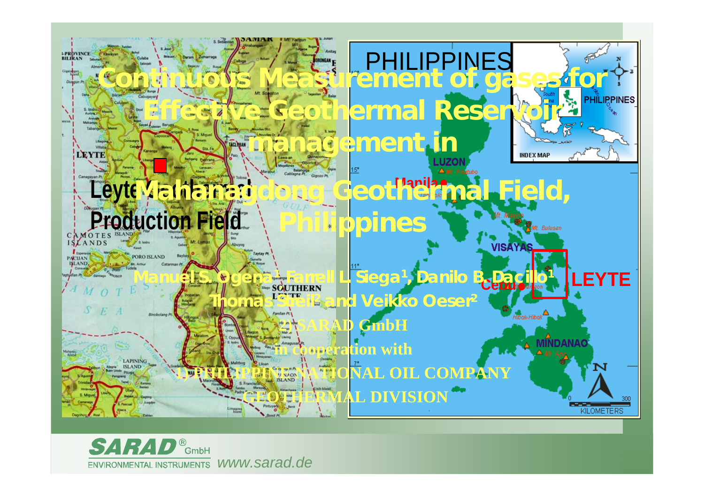

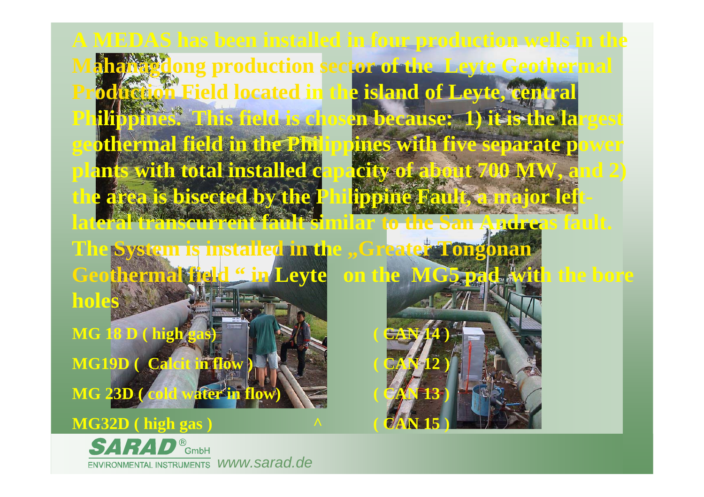**A MEDAS has been installed in four production wells in the Manual production sector of the Leyte Geothermal Production Field located in the island of Leyte, central Philippines. This field is chosen because: 1) it is the largest geothermal field in the Philippines with five separate power plants with total installed capacity of about 700 MW, and 2) the area is bisected by the Philippine Fault, a major leftlateral transcurrent fault similar to the San Andreas fault.** 

**The System is installed in the "Greater Tongonan Geothermal field " in Leyte on the MG5 pad with the bore holes MG 18 D ( high gas MG19D ( Calcit in flow ) ( CAN 12 ) MG 23D ( cold water in flow) ( CAN 13 )**

## **MG32D ( high gas ) ^ ( CAN 15 )**

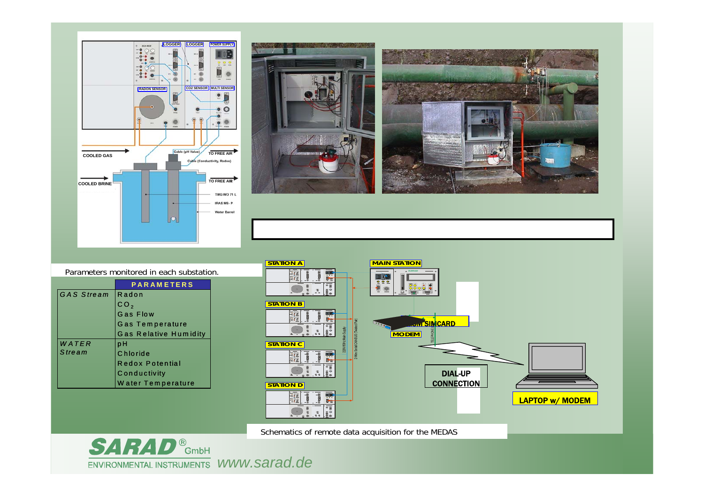



Parameters monitored in each substation.

|             | <b>PARAMETERS</b>            |
|-------------|------------------------------|
| IGAS Stream | Radon                        |
|             | CO <sub>2</sub>              |
|             | Gas Flow                     |
|             | Gas Temperature              |
|             | <b>Gas Relative Humidity</b> |
| WATER       | pН                           |
| Stream      | Chloride                     |
|             | <b>Redox Potential</b>       |
|             | Conductivity                 |
|             | Water Temperature            |



Schematics of remote data acquisition for the MEDAS

**SARAD®** GmbH *www.sarad.de*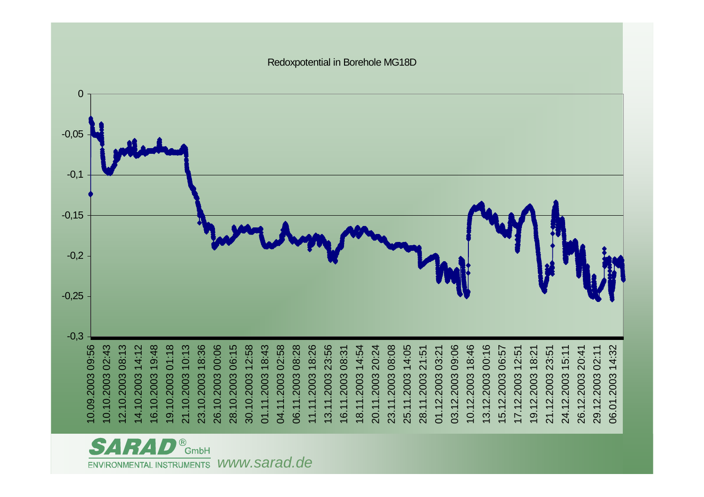

**B**<br>GmbH *www.sarad.de* **ENVIRONMENTAL INSTRUMENTS**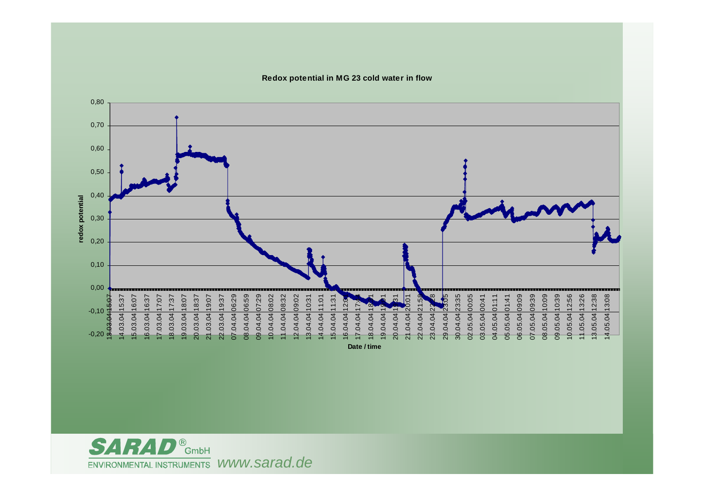

**Redox potential in MG 23 cold water in flow**

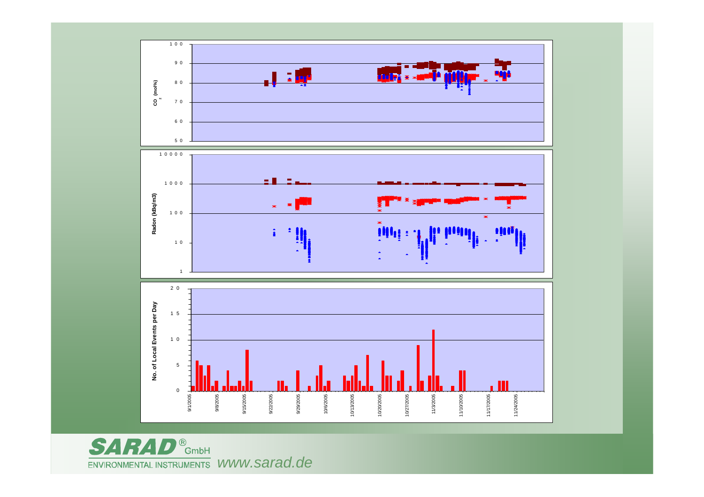

<sup>8</sup><br>GmbH SA R  $\overline{\phantom{a}}$ *www.sarad.de*